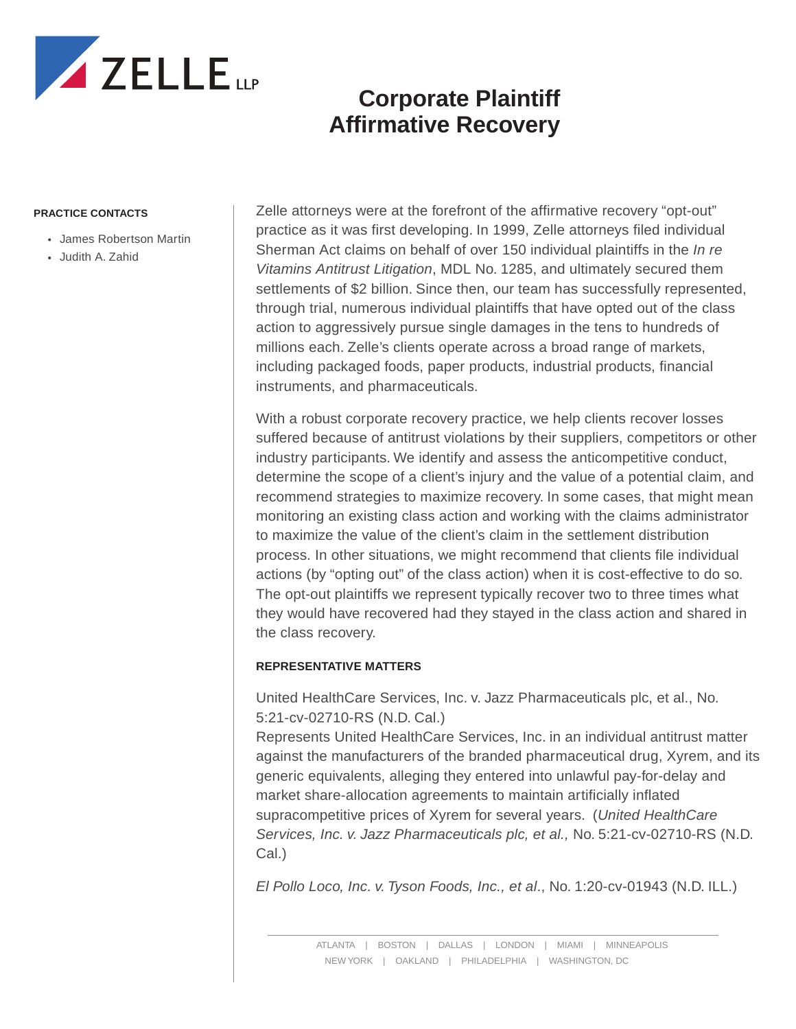

# **Corporate Plaintiff Affirmative Recovery**

#### **PRACTICE CONTACTS**

- James Robertson Martin
- Judith A. Zahid

Zelle attorneys were at the forefront of the affirmative recovery "opt-out" practice as it was first developing. In 1999, Zelle attorneys filed individual Sherman Act claims on behalf of over 150 individual plaintiffs in the *In re Vitamins Antitrust Litigation*, MDL No. 1285, and ultimately secured them settlements of \$2 billion. Since then, our team has successfully represented, through trial, numerous individual plaintiffs that have opted out of the class action to aggressively pursue single damages in the tens to hundreds of millions each. Zelle's clients operate across a broad range of markets, including packaged foods, paper products, industrial products, financial instruments, and pharmaceuticals.

With a robust corporate recovery practice, we help clients recover losses suffered because of antitrust violations by their suppliers, competitors or other industry participants. We identify and assess the anticompetitive conduct, determine the scope of a client's injury and the value of a potential claim, and recommend strategies to maximize recovery. In some cases, that might mean monitoring an existing class action and working with the claims administrator to maximize the value of the client's claim in the settlement distribution process. In other situations, we might recommend that clients file individual actions (by "opting out" of the class action) when it is cost-effective to do so. The opt-out plaintiffs we represent typically recover two to three times what they would have recovered had they stayed in the class action and shared in the class recovery.

### **REPRESENTATIVE MATTERS**

United HealthCare Services, Inc. v. Jazz Pharmaceuticals plc, et al., No. 5:21-cv-02710-RS (N.D. Cal.)

Represents United HealthCare Services, Inc. in an individual antitrust matter against the manufacturers of the branded pharmaceutical drug, Xyrem, and its generic equivalents, alleging they entered into unlawful pay-for-delay and market share-allocation agreements to maintain artificially inflated supracompetitive prices of Xyrem for several years. (*United HealthCare Services, Inc. v. Jazz Pharmaceuticals plc, et al.,* No. 5:21-cv-02710-RS (N.D. Cal.)

*El Pollo Loco, Inc. v. Tyson Foods, Inc., et al*., No. 1:20-cv-01943 (N.D. ILL.)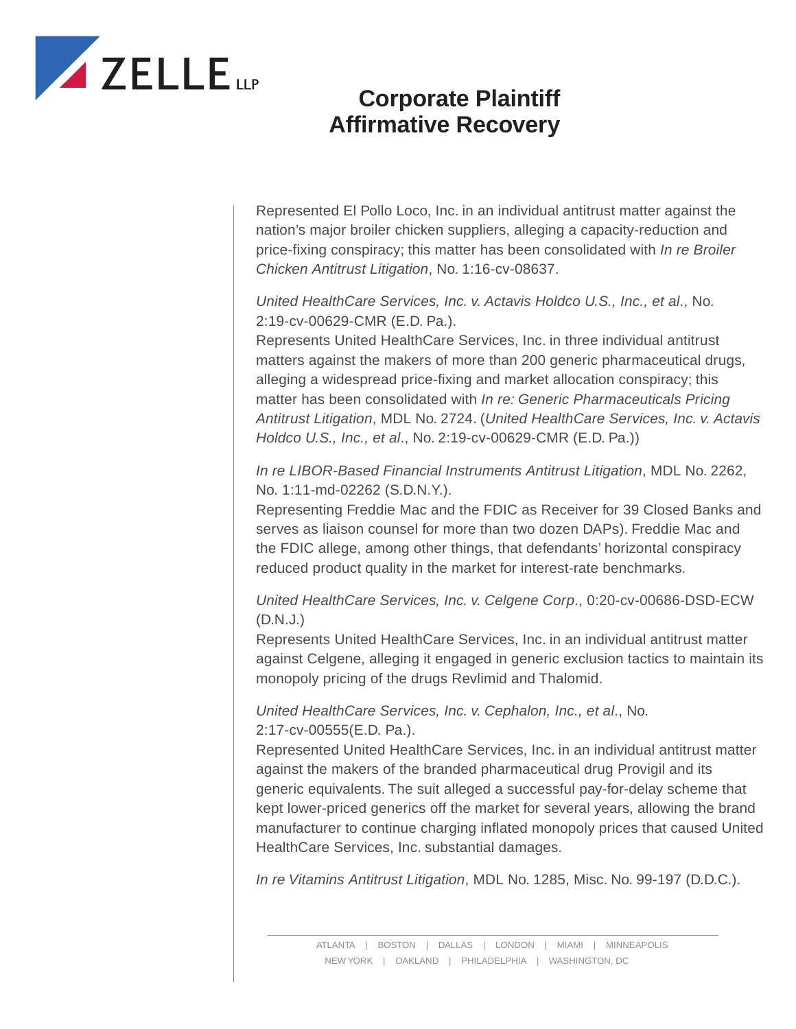

# **Corporate Plaintiff Affirmative Recovery**

Represented El Pollo Loco, Inc. in an individual antitrust matter against the nation's major broiler chicken suppliers, alleging a capacity-reduction and price-fixing conspiracy; this matter has been consolidated with *In re Broiler Chicken Antitrust Litigation*, No. 1:16-cv-08637.

*United HealthCare Services, Inc. v. Actavis Holdco U.S., Inc., et al*., No. 2:19-cv-00629-CMR (E.D. Pa.).

Represents United HealthCare Services, Inc. in three individual antitrust matters against the makers of more than 200 generic pharmaceutical drugs, alleging a widespread price-fixing and market allocation conspiracy; this matter has been consolidated with *In re: Generic Pharmaceuticals Pricing Antitrust Litigation*, MDL No. 2724. (*United HealthCare Services, Inc. v. Actavis Holdco U.S., Inc., et al*., No. 2:19-cv-00629-CMR (E.D. Pa.))

*In re LIBOR-Based Financial Instruments Antitrust Litigation*, MDL No. 2262, No. 1:11-md-02262 (S.D.N.Y.).

Representing Freddie Mac and the FDIC as Receiver for 39 Closed Banks and serves as liaison counsel for more than two dozen DAPs). Freddie Mac and the FDIC allege, among other things, that defendants' horizontal conspiracy reduced product quality in the market for interest-rate benchmarks.

*United HealthCare Services, Inc. v. Celgene Corp*., 0:20-cv-00686-DSD-ECW (D.N.J.)

Represents United HealthCare Services, Inc. in an individual antitrust matter against Celgene, alleging it engaged in generic exclusion tactics to maintain its monopoly pricing of the drugs Revlimid and Thalomid.

*United HealthCare Services, Inc. v. Cephalon, Inc., et al*., No. 2:17-cv-00555(E.D. Pa.).

Represented United HealthCare Services, Inc. in an individual antitrust matter against the makers of the branded pharmaceutical drug Provigil and its generic equivalents. The suit alleged a successful pay-for-delay scheme that kept lower-priced generics off the market for several years, allowing the brand manufacturer to continue charging inflated monopoly prices that caused United HealthCare Services, Inc. substantial damages.

*In re Vitamins Antitrust Litigation*, MDL No. 1285, Misc. No. 99-197 (D.D.C.).